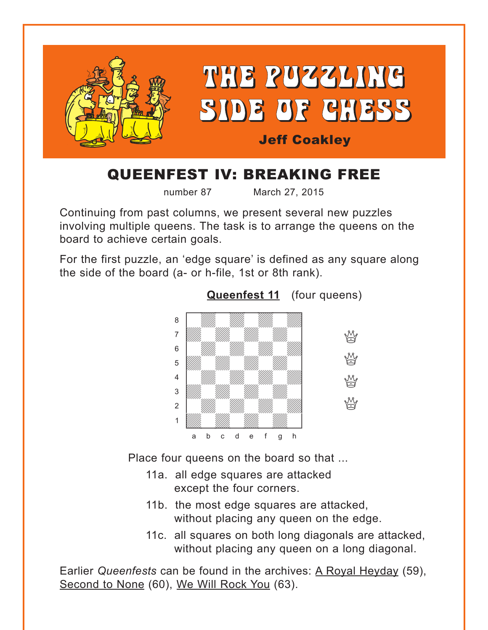<span id="page-0-0"></span>

## QUEENFEST IV: BREAKING FREE

number 87 March 27, 2015

Continuing from past columns, we present several new puzzles involving multiple queens. The task is to arrange the queens on the board to achieve certain goals.

For the first puzzle, an 'edge square' is defined as any square along the side of the board (a- or h-file, 1st or 8th rank).



**[Queenfest 11](#page-4-0)** (four queens)

Place four queens on the board so that ...

- 11a. all edge squares are attacked except the four corners.
- 11b. the most edge squares are attacked, without placing any queen on the edge.
- 11c. all squares on both long diagonals are attacked, without placing any queen on a long diagonal.

Earlier *Queenfests* can be found in the archives: A Royal Heyday (59), Second to None (60), We Will Rock You (63).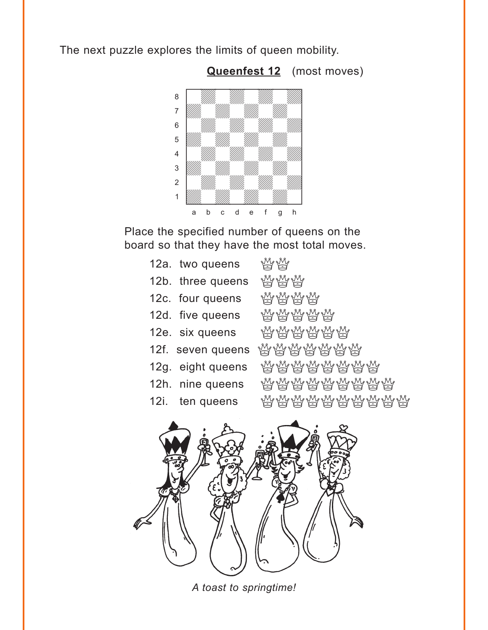<span id="page-1-0"></span>The next puzzle explores the limits of queen mobility.



**[Queenfest 12](#page-6-0)** (most moves)

Place the specified number of queens on the board so that they have the most total moves.

| 12a. two queens   | W W                     |
|-------------------|-------------------------|
| 12b. three queens | <b>WWW</b>              |
| 12c. four queens  | <b>WWWW</b>             |
| 12d. five queens  | <b>WWWWW</b>            |
| 12e. six queens   | <b>MAMANA</b>           |
| 12f. seven queens |                         |
| 12g. eight queens | ₩₩₩₩₩₩₩                 |
| 12h. nine queens  | ₩₩₩₩₩₩₩₩                |
| 12i. ten queens   | <i>ਸ਼ਜ਼ਸ਼ਜ਼ਜ਼ਜ਼ਜ਼ਜ਼</i> |
|                   |                         |



*A toast to springtime!*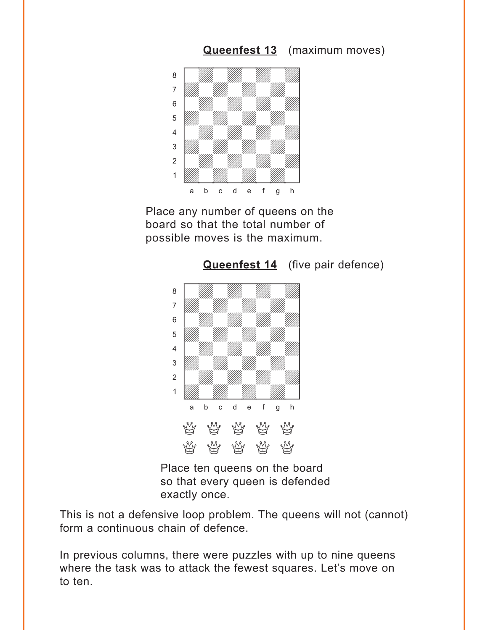<span id="page-2-0"></span>

Place any number of queens on the board so that the total number of possible moves is the maximum.



**[Queenfest 14](#page-12-0)** (five pair defence)

Place ten queens on the board so that every queen is defended exactly once.

This is not a defensive loop problem. The queens will not (cannot) form a continuous chain of defence.

In previous columns, there were puzzles with up to nine queens where the task was to attack the fewest squares. Let's move on to ten.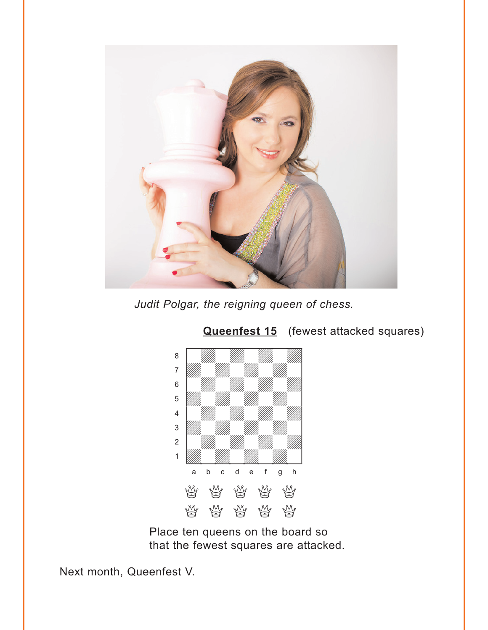<span id="page-3-0"></span>

*Judit Polgar, the reigning queen of chess.*



#### **[Queenfest 15](#page-13-0)** (fewest attacked squares)

Place ten queens on the board so that the fewest squares are attacked.

Next month, Queenfest V.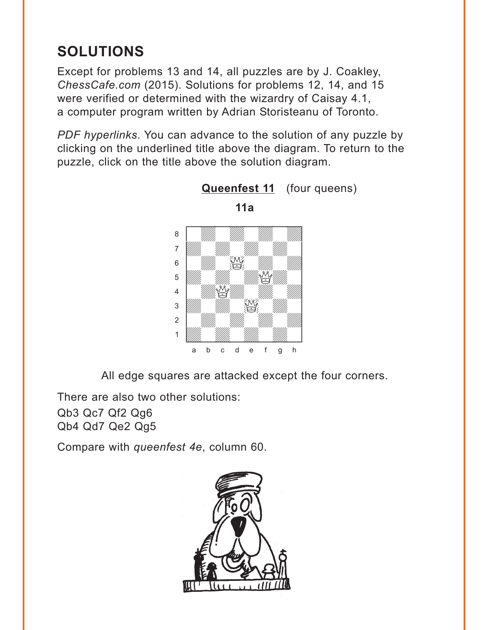# <span id="page-4-0"></span>**SOLUTIONS**

Except for problems 13 and 14, all puzzles are by J. Coakley, *ChessCafe.com* (2015). Solutions for problems 12, 14, and 15 were verified or determined with the wizardry of Caisay 4.1, a computer program written by Adrian Storisteanu of Toronto.

*PDF hyperlinks*. You can advance to the solution of any puzzle by clicking on the underlined title above the diagram. To return to the puzzle, click on the title above the solution diagram.



**11a**

**[Queenfest 11](#page-0-0)** (four queens)

All edge squares are attacked except the four corners.

There are also two other solutions:

Qb3 Qc7 Qf2 Qg6 Qb4 Qd7 Qe2 Qg5

Compare with *queenfest 4e*, column 60.

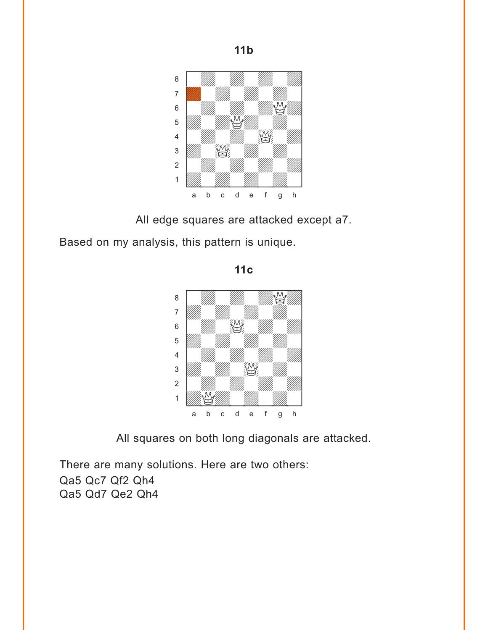

All edge squares are attacked except a7.

Based on my analysis, this pattern is unique.

where  $\frac{1}{2}$  is the set of the set of the set of the set of the set of the set of the set of the set of the set of the set of the set of the set of the set of the set of the set of the set of the set of the set of the  $\begin{picture}(40,40) \put(0,0){\line(1,0){10}} \put(15,0){\line(1,0){10}} \put(15,0){\line(1,0){10}} \put(15,0){\line(1,0){10}} \put(15,0){\line(1,0){10}} \put(15,0){\line(1,0){10}} \put(15,0){\line(1,0){10}} \put(15,0){\line(1,0){10}} \put(15,0){\line(1,0){10}} \put(15,0){\line(1,0){10}} \put(15,0){\line(1,0){10}} \put(15,0){\line(1$ àdwdwdwdw]  $\frac{1}{2}$  **b**  $\frac{1}{2}$   $\frac{1}{2}$   $\frac{1}{2}$   $\frac{1}{2}$   $\frac{1}{2}$   $\frac{1}{2}$   $\frac{1}{2}$   $\frac{1}{2}$   $\frac{1}{2}$   $\frac{1}{2}$   $\frac{1}{2}$   $\frac{1}{2}$   $\frac{1}{2}$   $\frac{1}{2}$   $\frac{1}{2}$   $\frac{1}{2}$   $\frac{1}{2}$   $\frac{1}{2}$   $\frac{1}{2}$   $\frac{1}{2}$   $\frac{1}{2$ **b** William William William Company of the William Company of the William Company of the William Company of the William Company of the Company of the Company of the Company of the Company of the Company of the Company of t 4 William William William William  $\frac{1}{\sqrt{2}}$ 2 | *William William William William William William William William William William William William William William William William William William William William William William William William William William William W* 1 *William William William William William William William William William William William William William William William William William William William William William William William William William William William Wil* a b c d e f g h

**11c** 

All squares on both long diagonals are attacked.

There are many solutions. Here are two others: Qa5 Qc7 Qf2 Qh4 Qa5 Qd7 Qe2 Qh4

**11b**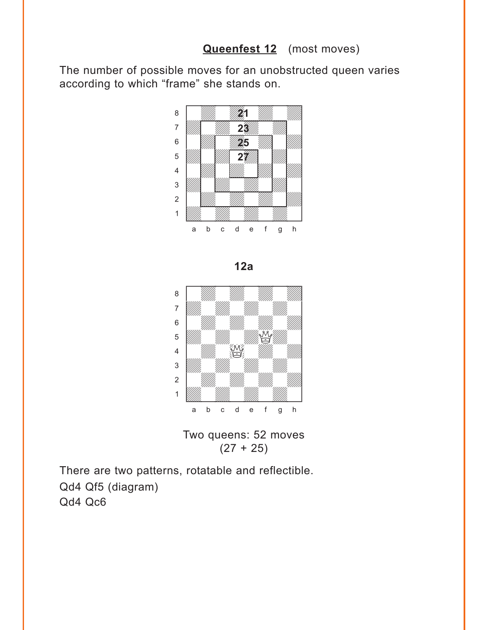#### **[Queenfest 12](#page-1-0)** (most moves)

<span id="page-6-0"></span>The number of possible moves for an unobstructed queen varies according to which "frame" she stands on.



**12a** 





There are two patterns, rotatable and reflectible. Qd4 Qf5 (diagram) Qd4 Qc6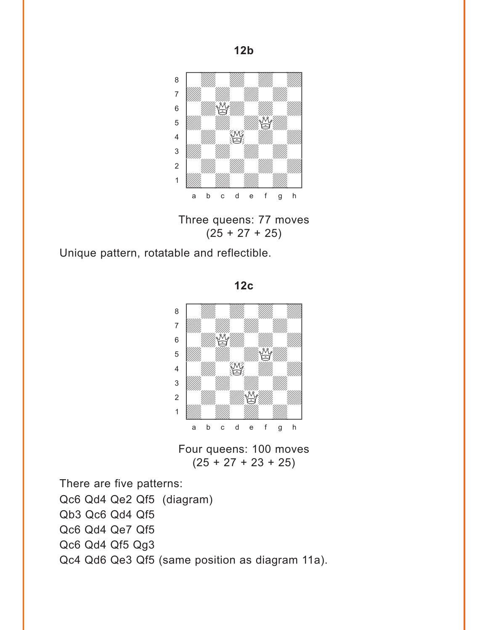

Three queens: 77 moves  $(25 + 27 + 25)$ 

Unique pattern, rotatable and reflectible.

**12c** 



Four queens: 100 moves  $(25 + 27 + 23 + 25)$ 

There are five patterns:

Qc6 Qd4 Qe2 Qf5 (diagram) Qb3 Qc6 Qd4 Qf5 Qc6 Qd4 Qe7 Qf5 Qc6 Qd4 Qf5 Qg3 Qc4 Qd6 Qe3 Qf5 (same position as diagram 11a).

**12b**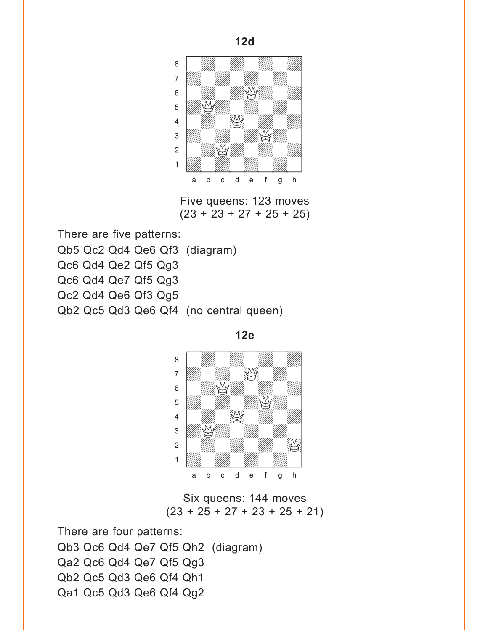

Five queens: 123 moves  $(23 + 23 + 27 + 25 + 25)$ 

There are five patterns: Qb5 Qc2 Qd4 Qe6 Qf3 (diagram) Qc6 Qd4 Qe2 Qf5 Qg3 Qc6 Qd4 Qe7 Qf5 Qg3 Qc2 Qd4 Qe6 Qf3 Qg5 Qb2 Qc5 Qd3 Qe6 Qf4 (no central queen)





Six queens: 144 moves  $(23 + 25 + 27 + 23 + 25 + 21)$ 

There are four patterns: Qb3 Qc6 Qd4 Qe7 Qf5 Qh2 (diagram) Qa2 Qc6 Qd4 Qe7 Qf5 Qg3 Qb2 Qc5 Qd3 Qe6 Qf4 Qh1 Qa1 Qc5 Qd3 Qe6 Qf4 Qg2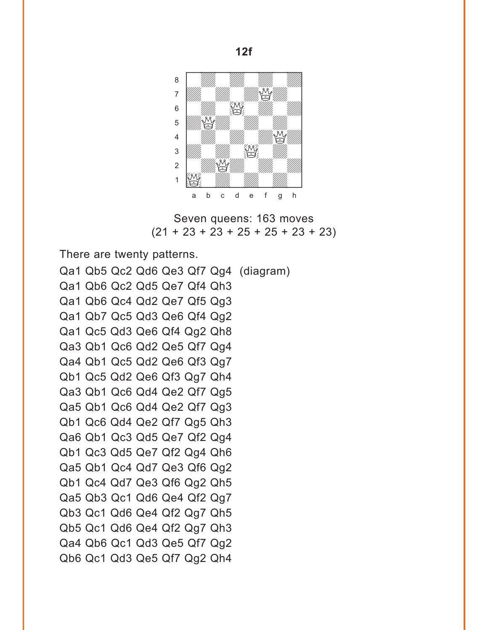

Seven queens: 163 moves  $(21 + 23 + 23 + 25 + 25 + 23 + 23)$ 

There are twenty patterns.

Qa1 Qb5 Qc2 Qd6 Qe3 Qf7 Qg4 (diagram) Qa1 Qb6 Qc2 Qd5 Qe7 Qf4 Qh3 Qa1 Qb6 Qc4 Qd2 Qe7 Qf5 Qg3 Qa1 Qb7 Qc5 Qd3 Qe6 Qf4 Qg2 Qa1 Qc5 Qd3 Qe6 Qf4 Qg2 Qh8 Qa3 Qb1 Qc6 Qd2 Qe5 Qf7 Qg4 Qa4 Qb1 Qc5 Qd2 Qe6 Qf3 Qg7 Qb1 Qc5 Qd2 Qe6 Qf3 Qg7 Qh4 Qa3 Qb1 Qc6 Qd4 Qe2 Qf7 Qg5 Qa5 Qb1 Qc6 Qd4 Qe2 Qf7 Qg3 Qb1 Qc6 Qd4 Qe2 Qf7 Qg5 Qh3 Qa6 Qb1 Qc3 Qd5 Qe7 Qf2 Qg4 Qb1 Qc3 Qd5 Qe7 Qf2 Qg4 Qh6 Qa5 Qb1 Qc4 Qd7 Qe3 Qf6 Qg2 Qb1 Qc4 Qd7 Qe3 Qf6 Qg2 Qh5 Qa5 Qb3 Qc1 Qd6 Qe4 Qf2 Qg7 Qb3 Qc1 Qd6 Qe4 Qf2 Qg7 Qh5 Qb5 Qc1 Qd6 Qe4 Qf2 Qg7 Qh3 Qa4 Qb6 Qc1 Qd3 Qe5 Qf7 Qg2 Qb6 Qc1 Qd3 Qe5 Qf7 Qg2 Qh4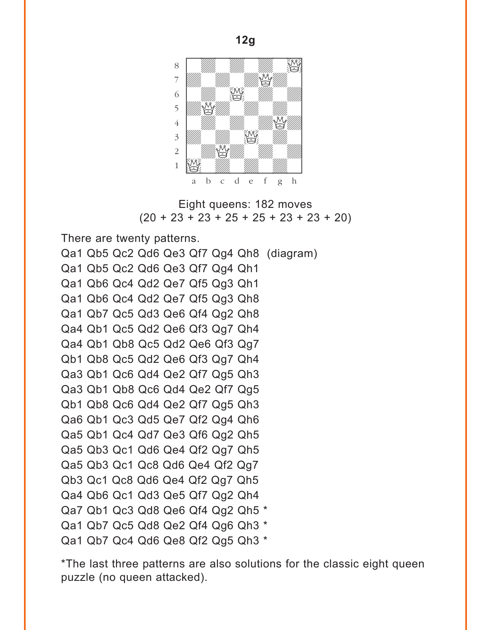



There are twenty patterns.

Qa1 Qb5 Qc2 Qd6 Qe3 Qf7 Qg4 Qh8 (diagram) Qa1 Qb5 Qc2 Qd6 Qe3 Qf7 Qg4 Qh1 Qa1 Qb6 Qc4 Qd2 Qe7 Qf5 Qg3 Qh1 Qa1 Qb6 Qc4 Qd2 Qe7 Qf5 Qg3 Qh8 Qa1 Qb7 Qc5 Qd3 Qe6 Qf4 Qg2 Qh8 Qa4 Qb1 Qc5 Qd2 Qe6 Qf3 Qg7 Qh4 Qa4 Qb1 Qb8 Qc5 Qd2 Qe6 Qf3 Qg7 Qb1 Qb8 Qc5 Qd2 Qe6 Qf3 Qg7 Qh4 Qa3 Qb1 Qc6 Qd4 Qe2 Qf7 Qg5 Qh3 Qa3 Qb1 Qb8 Qc6 Qd4 Qe2 Qf7 Qg5 Qb1 Qb8 Qc6 Qd4 Qe2 Qf7 Qg5 Qh3 Qa6 Qb1 Qc3 Qd5 Qe7 Qf2 Qg4 Qh6 Qa5 Qb1 Qc4 Qd7 Qe3 Qf6 Qg2 Qh5 Qa5 Qb3 Qc1 Qd6 Qe4 Qf2 Qg7 Qh5 Qa5 Qb3 Qc1 Qc8 Qd6 Qe4 Qf2 Qg7 Qb3 Qc1 Qc8 Qd6 Qe4 Qf2 Qg7 Qh5 Qa4 Qb6 Qc1 Qd3 Qe5 Qf7 Qg2 Qh4 Qa7 Qb1 Qc3 Qd8 Qe6 Qf4 Qg2 Qh5 \* Qa1 Qb7 Qc5 Qd8 Qe2 Qf4 Qg6 Qh3 \* Qa1 Qb7 Qc4 Qd6 Qe8 Qf2 Qg5 Qh3 \*

\*The last three patterns are also solutions for the classic eight queen puzzle (no queen attacked).

**12g**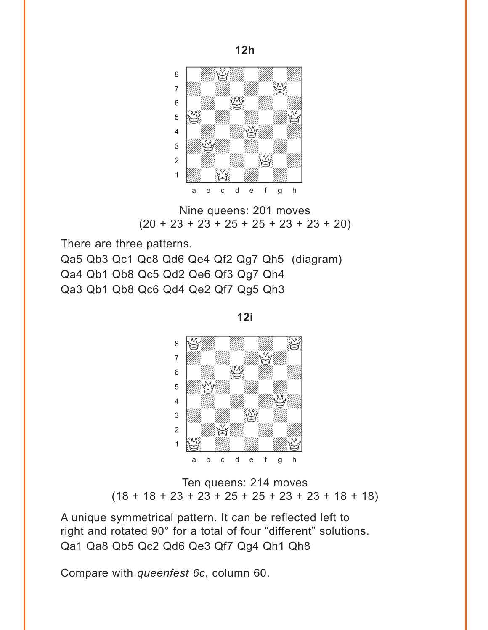

**12h** 

Nine queens: 201 moves  $(20 + 23 + 23 + 25 + 25 + 23 + 23 + 20)$ 

There are three patterns.

Qa5 Qb3 Qc1 Qc8 Qd6 Qe4 Qf2 Qg7 Qh5 (diagram) Qa4 Qb1 Qb8 Qc5 Qd2 Qe6 Qf3 Qg7 Qh4 Qa3 Qb1 Qb8 Qc6 Qd4 Qe2 Qf7 Qg5 Qh3

**12i** 



Ten queens: 214 moves  $(18 + 18 + 23 + 23 + 25 + 25 + 23 + 23 + 18)$ 

A unique symmetrical pattern. It can be reflected left to right and rotated 90° for a total of four "different" solutions. Qa1 Qa8 Qb5 Qc2 Qd6 Qe3 Qf7 Qg4 Qh1 Qh8

Compare with *queenfest 6c*, column 60.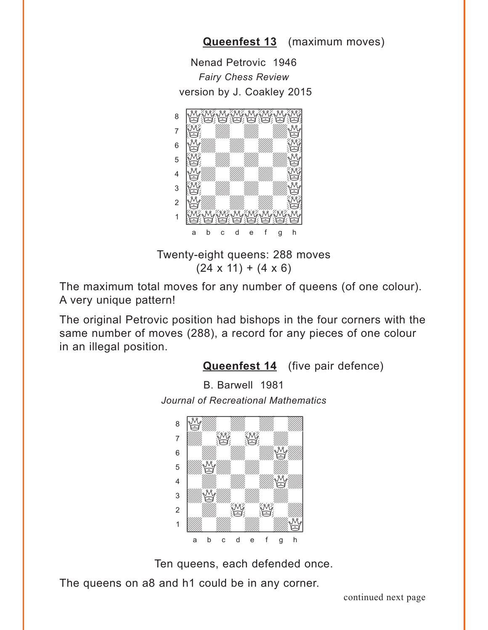### **[Queenfest 13](#page-2-0)** (maximum moves)

<span id="page-12-0"></span>Nenad Petrovic 1946 *Fairy Chess Review* version by J. Coakley 2015



Twenty-eight queens: 288 moves  $(24 \times 11) + (4 \times 6)$ 

The maximum total moves for any number of queens (of one colour). A very unique pattern!

The original Petrovic position had bishops in the four corners with the same number of moves (288), a record for any pieces of one colour in an illegal position.

#### **[Queenfest 14](#page-2-0)** (five pair defence)

B. Barwell 1981

*Journal of Recreational Mathematics*



Ten queens, each defended once.

The queens on a8 and h1 could be in any corner.

continued next page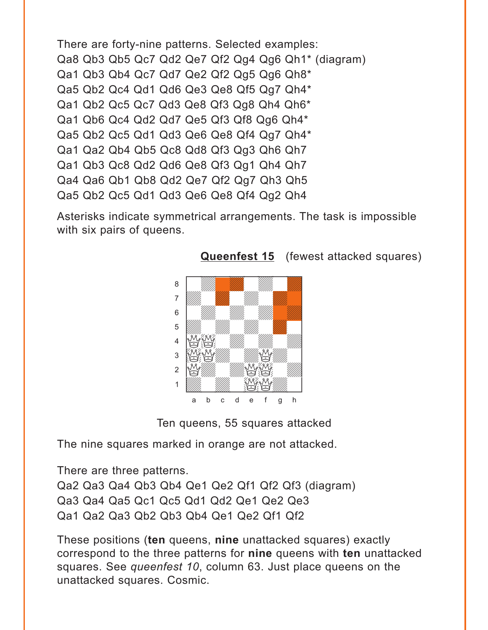```
There are forty-nine patterns. Selected examples:
Qa8 Qb3 Qb5 Qc7 Qd2 Qe7 Qf2 Qg4 Qg6 Qh1* (diagram)
Qa1 Qb3 Qb4 Qc7 Qd7 Qe2 Qf2 Qg5 Qg6 Qh8*
Qa5 Qb2 Qc4 Qd1 Qd6 Qe3 Qe8 Qf5 Qg7 Qh4*
Qa1 Qb2 Qc5 Qc7 Qd3 Qe8 Qf3 Qg8 Qh4 Qh6*
Qa1 Qb6 Qc4 Qd2 Qd7 Qe5 Qf3 Qf8 Qg6 Qh4*
Qa5 Qb2 Qc5 Qd1 Qd3 Qe6 Qe8 Qf4 Qg7 Qh4*
Qa1 Qa2 Qb4 Qb5 Qc8 Qd8 Qf3 Qg3 Qh6 Qh7
Qa1 Qb3 Qc8 Qd2 Qd6 Qe8 Qf3 Qg1 Qh4 Qh7
Qa4 Qa6 Qb1 Qb8 Qd2 Qe7 Qf2 Qg7 Qh3 Qh5
Qa5 Qb2 Qc5 Qd1 Qd3 Qe6 Qe8 Qf4 Qg2 Qh4
```
Asterisks indicate symmetrical arrangements. The task is impossible with six pairs of queens.



**[Queenfest 15](#page-3-0)** (fewest attacked squares)

Ten queens, 55 squares attacked

The nine squares marked in orange are not attacked.

There are three patterns.

Qa2 Qa3 Qa4 Qb3 Qb4 Qe1 Qe2 Qf1 Qf2 Qf3 (diagram) Qa3 Qa4 Qa5 Qc1 Qc5 Qd1 Qd2 Qe1 Qe2 Qe3 Qa1 Qa2 Qa3 Qb2 Qb3 Qb4 Qe1 Qe2 Qf1 Qf2

These positions (**ten** queens, **nine** unattacked squares) exactly correspond to the three patterns for **nine** queens with **ten** unattacked squares. See *queenfest 10*, column 63. Just place queens on the unattacked squares. Cosmic.